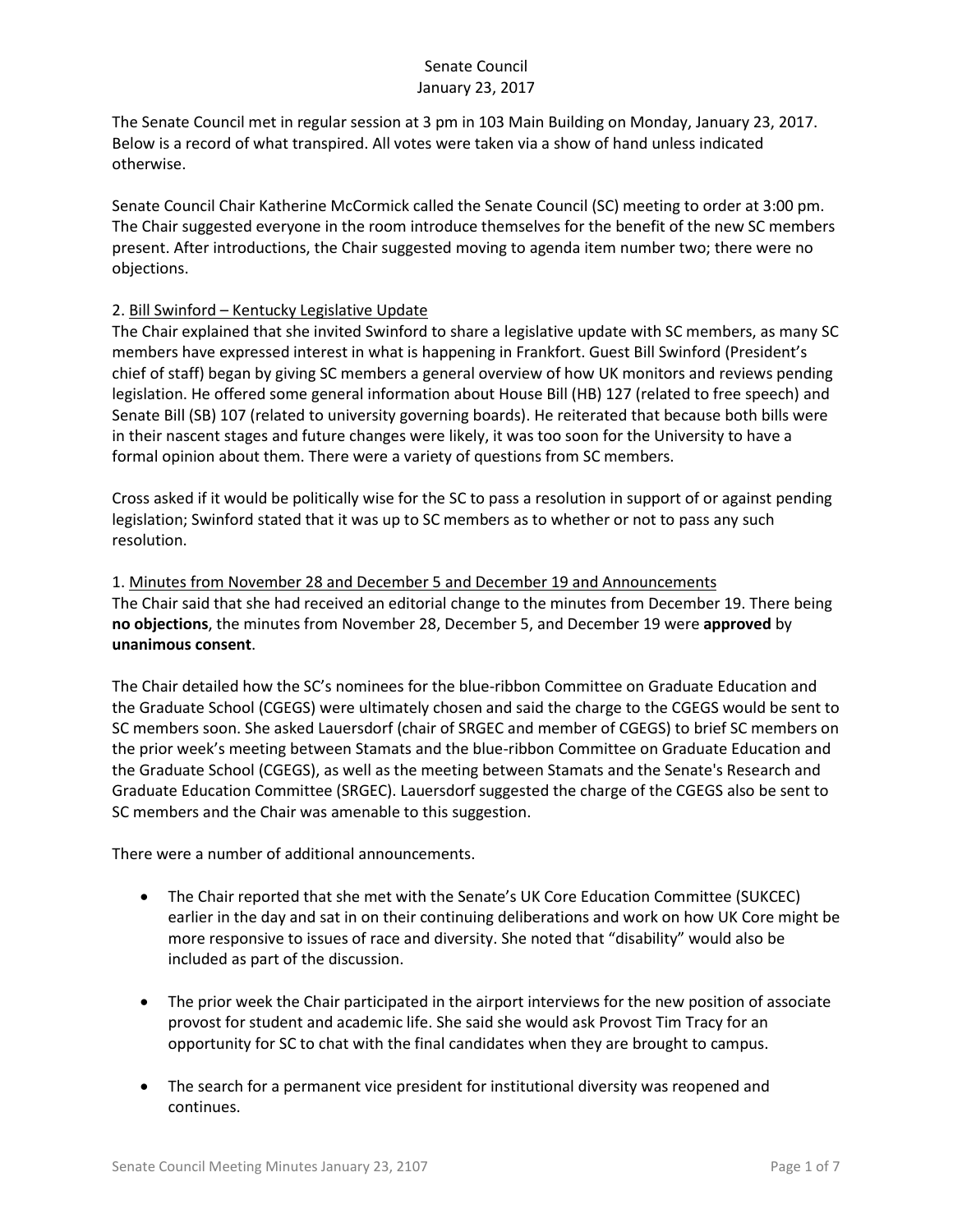The Senate Council met in regular session at 3 pm in 103 Main Building on Monday, January 23, 2017. Below is a record of what transpired. All votes were taken via a show of hand unless indicated otherwise.

Senate Council Chair Katherine McCormick called the Senate Council (SC) meeting to order at 3:00 pm. The Chair suggested everyone in the room introduce themselves for the benefit of the new SC members present. After introductions, the Chair suggested moving to agenda item number two; there were no objections.

## 2. Bill Swinford – Kentucky Legislative Update

The Chair explained that she invited Swinford to share a legislative update with SC members, as many SC members have expressed interest in what is happening in Frankfort. Guest Bill Swinford (President's chief of staff) began by giving SC members a general overview of how UK monitors and reviews pending legislation. He offered some general information about House Bill (HB) 127 (related to free speech) and Senate Bill (SB) 107 (related to university governing boards). He reiterated that because both bills were in their nascent stages and future changes were likely, it was too soon for the University to have a formal opinion about them. There were a variety of questions from SC members.

Cross asked if it would be politically wise for the SC to pass a resolution in support of or against pending legislation; Swinford stated that it was up to SC members as to whether or not to pass any such resolution.

1. Minutes from November 28 and December 5 and December 19 and Announcements The Chair said that she had received an editorial change to the minutes from December 19. There being **no objections**, the minutes from November 28, December 5, and December 19 were **approved** by **unanimous consent**.

The Chair detailed how the SC's nominees for the blue-ribbon Committee on Graduate Education and the Graduate School (CGEGS) were ultimately chosen and said the charge to the CGEGS would be sent to SC members soon. She asked Lauersdorf (chair of SRGEC and member of CGEGS) to brief SC members on the prior week's meeting between Stamats and the blue-ribbon Committee on Graduate Education and the Graduate School (CGEGS), as well as the meeting between Stamats and the Senate's Research and Graduate Education Committee (SRGEC). Lauersdorf suggested the charge of the CGEGS also be sent to SC members and the Chair was amenable to this suggestion.

There were a number of additional announcements.

- The Chair reported that she met with the Senate's UK Core Education Committee (SUKCEC) earlier in the day and sat in on their continuing deliberations and work on how UK Core might be more responsive to issues of race and diversity. She noted that "disability" would also be included as part of the discussion.
- The prior week the Chair participated in the airport interviews for the new position of associate provost for student and academic life. She said she would ask Provost Tim Tracy for an opportunity for SC to chat with the final candidates when they are brought to campus.
- The search for a permanent vice president for institutional diversity was reopened and continues.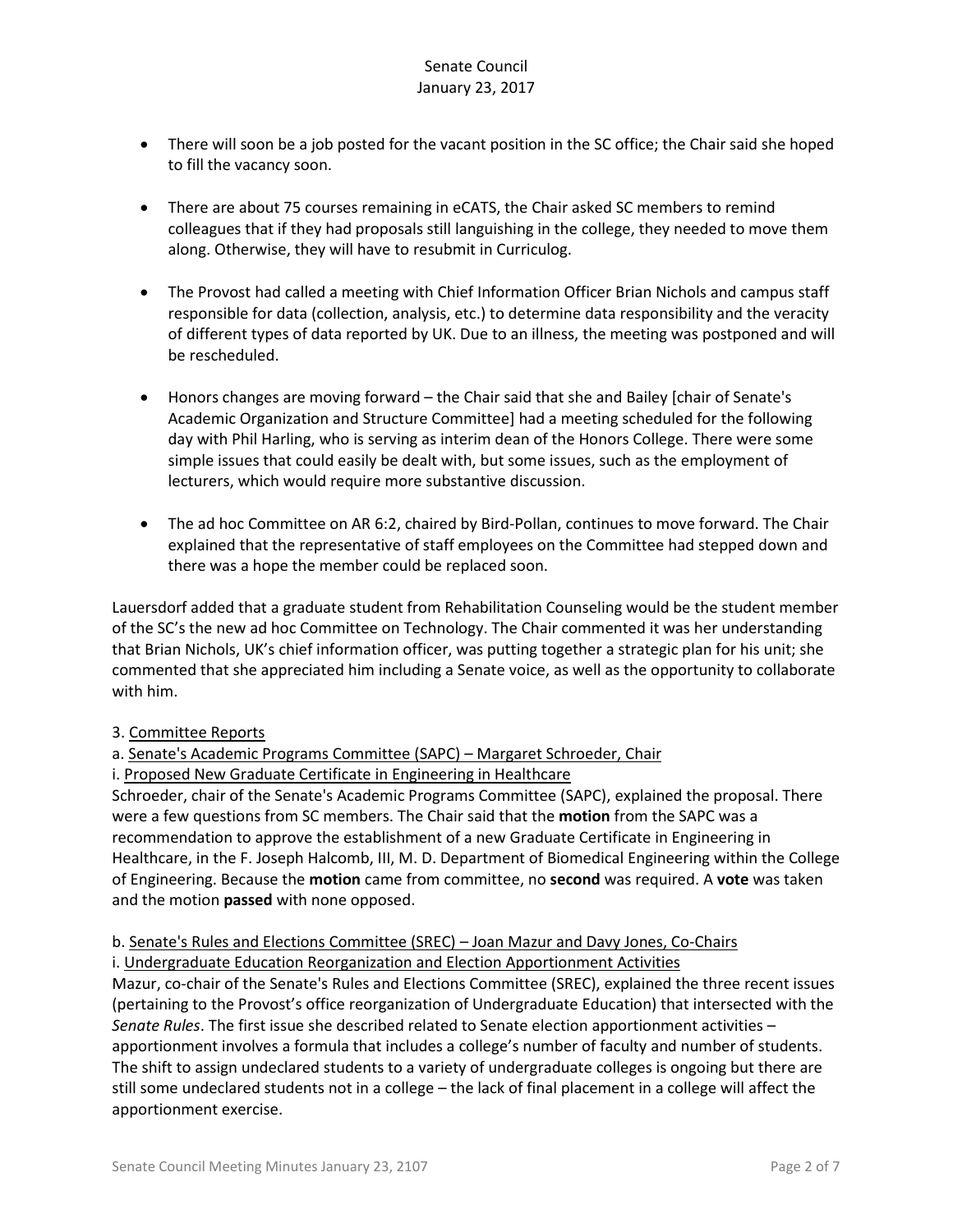- There will soon be a job posted for the vacant position in the SC office; the Chair said she hoped to fill the vacancy soon.
- There are about 75 courses remaining in eCATS, the Chair asked SC members to remind colleagues that if they had proposals still languishing in the college, they needed to move them along. Otherwise, they will have to resubmit in Curriculog.
- The Provost had called a meeting with Chief Information Officer Brian Nichols and campus staff responsible for data (collection, analysis, etc.) to determine data responsibility and the veracity of different types of data reported by UK. Due to an illness, the meeting was postponed and will be rescheduled.
- Honors changes are moving forward the Chair said that she and Bailey [chair of Senate's Academic Organization and Structure Committee] had a meeting scheduled for the following day with Phil Harling, who is serving as interim dean of the Honors College. There were some simple issues that could easily be dealt with, but some issues, such as the employment of lecturers, which would require more substantive discussion.
- The ad hoc Committee on AR 6:2, chaired by Bird-Pollan, continues to move forward. The Chair explained that the representative of staff employees on the Committee had stepped down and there was a hope the member could be replaced soon.

Lauersdorf added that a graduate student from Rehabilitation Counseling would be the student member of the SC's the new ad hoc Committee on Technology. The Chair commented it was her understanding that Brian Nichols, UK's chief information officer, was putting together a strategic plan for his unit; she commented that she appreciated him including a Senate voice, as well as the opportunity to collaborate with him.

## 3. Committee Reports

## a. Senate's Academic Programs Committee (SAPC) – Margaret Schroeder, Chair

#### i. Proposed New Graduate Certificate in Engineering in Healthcare

Schroeder, chair of the Senate's Academic Programs Committee (SAPC), explained the proposal. There were a few questions from SC members. The Chair said that the **motion** from the SAPC was a recommendation to approve the establishment of a new Graduate Certificate in Engineering in Healthcare, in the F. Joseph Halcomb, III, M. D. Department of Biomedical Engineering within the College of Engineering. Because the **motion** came from committee, no **second** was required. A **vote** was taken and the motion **passed** with none opposed.

## b. Senate's Rules and Elections Committee (SREC) – Joan Mazur and Davy Jones, Co-Chairs

#### i. Undergraduate Education Reorganization and Election Apportionment Activities

Mazur, co-chair of the Senate's Rules and Elections Committee (SREC), explained the three recent issues (pertaining to the Provost's office reorganization of Undergraduate Education) that intersected with the *Senate Rules*. The first issue she described related to Senate election apportionment activities – apportionment involves a formula that includes a college's number of faculty and number of students. The shift to assign undeclared students to a variety of undergraduate colleges is ongoing but there are still some undeclared students not in a college – the lack of final placement in a college will affect the apportionment exercise.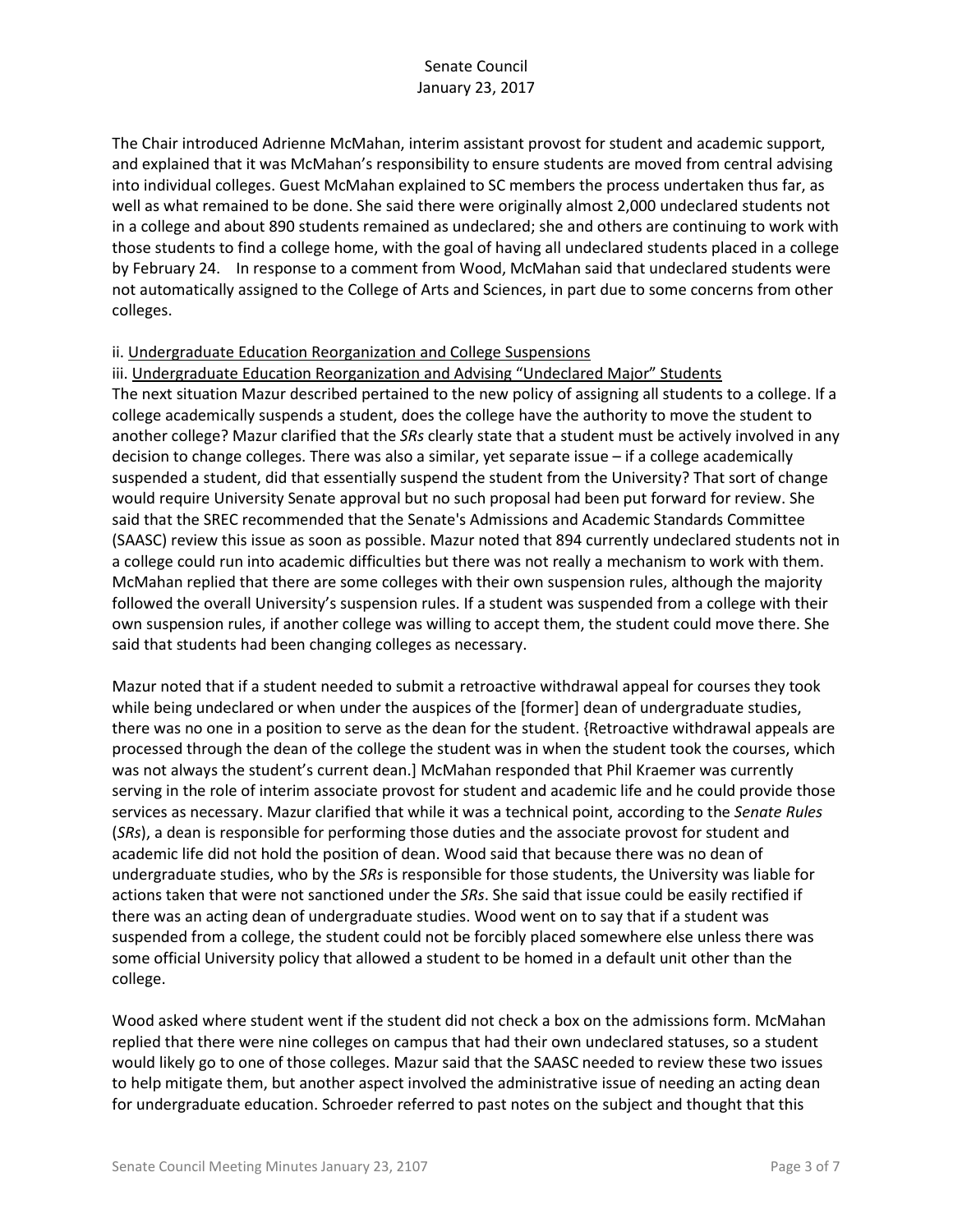The Chair introduced Adrienne McMahan, interim assistant provost for student and academic support, and explained that it was McMahan's responsibility to ensure students are moved from central advising into individual colleges. Guest McMahan explained to SC members the process undertaken thus far, as well as what remained to be done. She said there were originally almost 2,000 undeclared students not in a college and about 890 students remained as undeclared; she and others are continuing to work with those students to find a college home, with the goal of having all undeclared students placed in a college by February 24. In response to a comment from Wood, McMahan said that undeclared students were not automatically assigned to the College of Arts and Sciences, in part due to some concerns from other colleges.

#### ii. Undergraduate Education Reorganization and College Suspensions

#### iii. Undergraduate Education Reorganization and Advising "Undeclared Major" Students

The next situation Mazur described pertained to the new policy of assigning all students to a college. If a college academically suspends a student, does the college have the authority to move the student to another college? Mazur clarified that the *SRs* clearly state that a student must be actively involved in any decision to change colleges. There was also a similar, yet separate issue – if a college academically suspended a student, did that essentially suspend the student from the University? That sort of change would require University Senate approval but no such proposal had been put forward for review. She said that the SREC recommended that the Senate's Admissions and Academic Standards Committee (SAASC) review this issue as soon as possible. Mazur noted that 894 currently undeclared students not in a college could run into academic difficulties but there was not really a mechanism to work with them. McMahan replied that there are some colleges with their own suspension rules, although the majority followed the overall University's suspension rules. If a student was suspended from a college with their own suspension rules, if another college was willing to accept them, the student could move there. She said that students had been changing colleges as necessary.

Mazur noted that if a student needed to submit a retroactive withdrawal appeal for courses they took while being undeclared or when under the auspices of the [former] dean of undergraduate studies, there was no one in a position to serve as the dean for the student. {Retroactive withdrawal appeals are processed through the dean of the college the student was in when the student took the courses, which was not always the student's current dean.] McMahan responded that Phil Kraemer was currently serving in the role of interim associate provost for student and academic life and he could provide those services as necessary. Mazur clarified that while it was a technical point, according to the *Senate Rules* (*SRs*), a dean is responsible for performing those duties and the associate provost for student and academic life did not hold the position of dean. Wood said that because there was no dean of undergraduate studies, who by the *SRs* is responsible for those students, the University was liable for actions taken that were not sanctioned under the *SRs*. She said that issue could be easily rectified if there was an acting dean of undergraduate studies. Wood went on to say that if a student was suspended from a college, the student could not be forcibly placed somewhere else unless there was some official University policy that allowed a student to be homed in a default unit other than the college.

Wood asked where student went if the student did not check a box on the admissions form. McMahan replied that there were nine colleges on campus that had their own undeclared statuses, so a student would likely go to one of those colleges. Mazur said that the SAASC needed to review these two issues to help mitigate them, but another aspect involved the administrative issue of needing an acting dean for undergraduate education. Schroeder referred to past notes on the subject and thought that this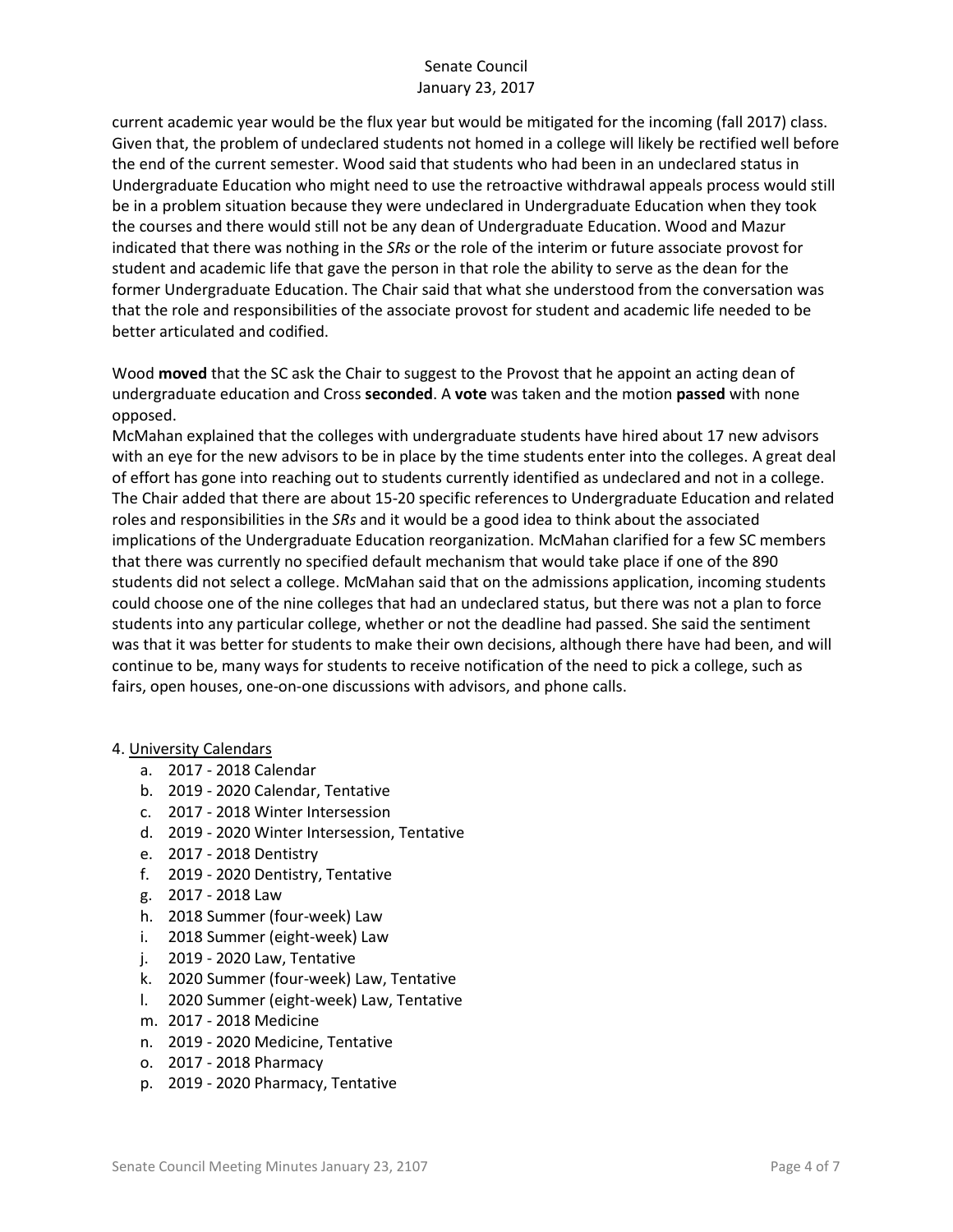current academic year would be the flux year but would be mitigated for the incoming (fall 2017) class. Given that, the problem of undeclared students not homed in a college will likely be rectified well before the end of the current semester. Wood said that students who had been in an undeclared status in Undergraduate Education who might need to use the retroactive withdrawal appeals process would still be in a problem situation because they were undeclared in Undergraduate Education when they took the courses and there would still not be any dean of Undergraduate Education. Wood and Mazur indicated that there was nothing in the *SRs* or the role of the interim or future associate provost for student and academic life that gave the person in that role the ability to serve as the dean for the former Undergraduate Education. The Chair said that what she understood from the conversation was that the role and responsibilities of the associate provost for student and academic life needed to be better articulated and codified.

Wood **moved** that the SC ask the Chair to suggest to the Provost that he appoint an acting dean of undergraduate education and Cross **seconded**. A **vote** was taken and the motion **passed** with none opposed.

McMahan explained that the colleges with undergraduate students have hired about 17 new advisors with an eye for the new advisors to be in place by the time students enter into the colleges. A great deal of effort has gone into reaching out to students currently identified as undeclared and not in a college. The Chair added that there are about 15-20 specific references to Undergraduate Education and related roles and responsibilities in the *SRs* and it would be a good idea to think about the associated implications of the Undergraduate Education reorganization. McMahan clarified for a few SC members that there was currently no specified default mechanism that would take place if one of the 890 students did not select a college. McMahan said that on the admissions application, incoming students could choose one of the nine colleges that had an undeclared status, but there was not a plan to force students into any particular college, whether or not the deadline had passed. She said the sentiment was that it was better for students to make their own decisions, although there have had been, and will continue to be, many ways for students to receive notification of the need to pick a college, such as fairs, open houses, one-on-one discussions with advisors, and phone calls.

#### 4. University Calendars

- a. 2017 2018 Calendar
- b. 2019 2020 Calendar, Tentative
- c. 2017 2018 Winter Intersession
- d. 2019 2020 Winter Intersession, Tentative
- e. 2017 2018 Dentistry
- f. 2019 2020 Dentistry, Tentative
- g. 2017 2018 Law
- h. 2018 Summer (four-week) Law
- i. 2018 Summer (eight-week) Law
- j. 2019 2020 Law, Tentative
- k. 2020 Summer (four-week) Law, Tentative
- l. 2020 Summer (eight-week) Law, Tentative
- m. 2017 2018 Medicine
- n. 2019 2020 Medicine, Tentative
- o. 2017 2018 Pharmacy
- p. 2019 2020 Pharmacy, Tentative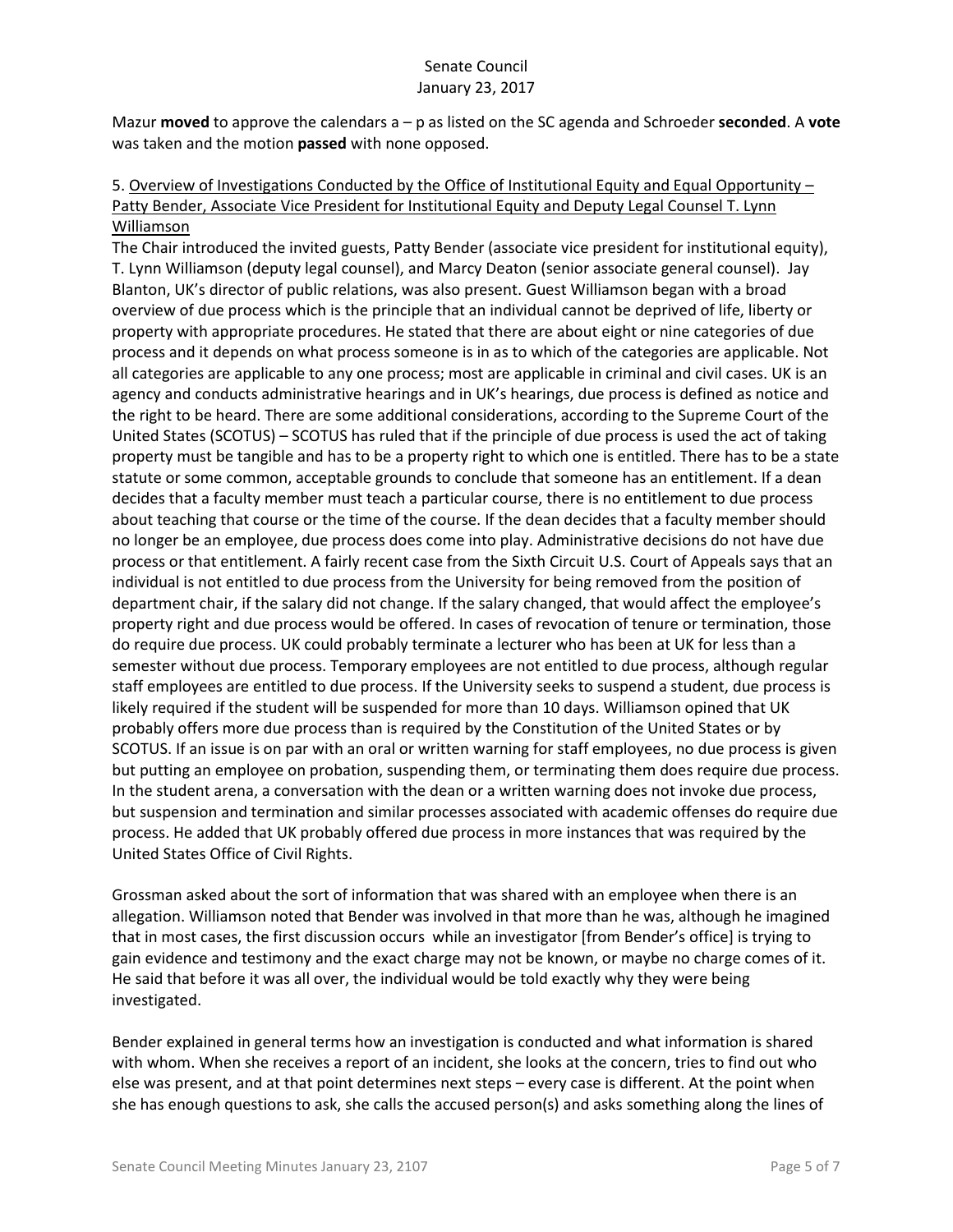Mazur **moved** to approve the calendars a – p as listed on the SC agenda and Schroeder **seconded**. A **vote** was taken and the motion **passed** with none opposed.

## 5. Overview of Investigations Conducted by the Office of Institutional Equity and Equal Opportunity – Patty Bender, Associate Vice President for Institutional Equity and Deputy Legal Counsel T. Lynn Williamson

The Chair introduced the invited guests, Patty Bender (associate vice president for institutional equity), T. Lynn Williamson (deputy legal counsel), and Marcy Deaton (senior associate general counsel). Jay Blanton, UK's director of public relations, was also present. Guest Williamson began with a broad overview of due process which is the principle that an individual cannot be deprived of life, liberty or property with appropriate procedures. He stated that there are about eight or nine categories of due process and it depends on what process someone is in as to which of the categories are applicable. Not all categories are applicable to any one process; most are applicable in criminal and civil cases. UK is an agency and conducts administrative hearings and in UK's hearings, due process is defined as notice and the right to be heard. There are some additional considerations, according to the Supreme Court of the United States (SCOTUS) – SCOTUS has ruled that if the principle of due process is used the act of taking property must be tangible and has to be a property right to which one is entitled. There has to be a state statute or some common, acceptable grounds to conclude that someone has an entitlement. If a dean decides that a faculty member must teach a particular course, there is no entitlement to due process about teaching that course or the time of the course. If the dean decides that a faculty member should no longer be an employee, due process does come into play. Administrative decisions do not have due process or that entitlement. A fairly recent case from the Sixth Circuit U.S. Court of Appeals says that an individual is not entitled to due process from the University for being removed from the position of department chair, if the salary did not change. If the salary changed, that would affect the employee's property right and due process would be offered. In cases of revocation of tenure or termination, those do require due process. UK could probably terminate a lecturer who has been at UK for less than a semester without due process. Temporary employees are not entitled to due process, although regular staff employees are entitled to due process. If the University seeks to suspend a student, due process is likely required if the student will be suspended for more than 10 days. Williamson opined that UK probably offers more due process than is required by the Constitution of the United States or by SCOTUS. If an issue is on par with an oral or written warning for staff employees, no due process is given but putting an employee on probation, suspending them, or terminating them does require due process. In the student arena, a conversation with the dean or a written warning does not invoke due process, but suspension and termination and similar processes associated with academic offenses do require due process. He added that UK probably offered due process in more instances that was required by the United States Office of Civil Rights.

Grossman asked about the sort of information that was shared with an employee when there is an allegation. Williamson noted that Bender was involved in that more than he was, although he imagined that in most cases, the first discussion occurs while an investigator [from Bender's office] is trying to gain evidence and testimony and the exact charge may not be known, or maybe no charge comes of it. He said that before it was all over, the individual would be told exactly why they were being investigated.

Bender explained in general terms how an investigation is conducted and what information is shared with whom. When she receives a report of an incident, she looks at the concern, tries to find out who else was present, and at that point determines next steps – every case is different. At the point when she has enough questions to ask, she calls the accused person(s) and asks something along the lines of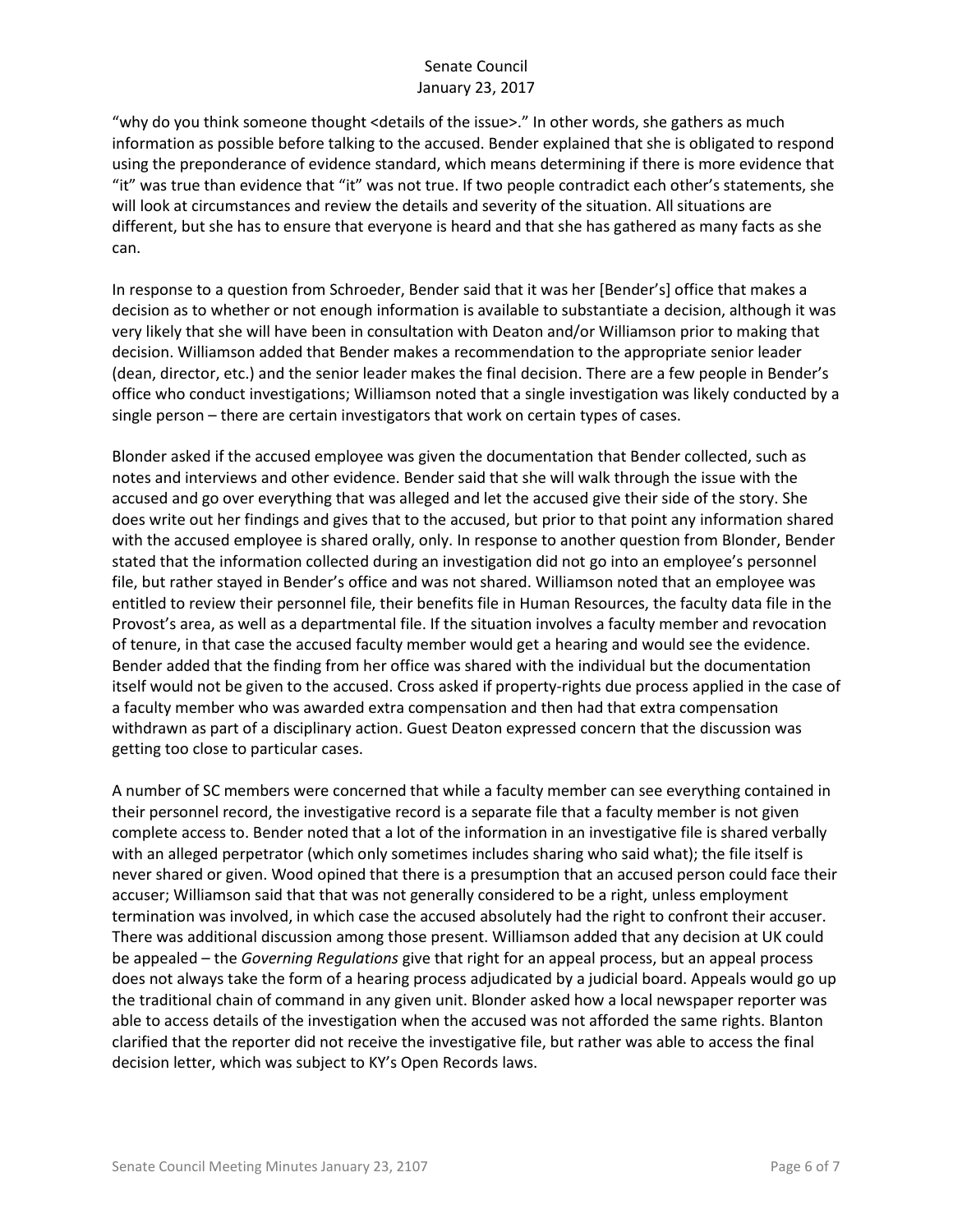"why do you think someone thought <details of the issue>." In other words, she gathers as much information as possible before talking to the accused. Bender explained that she is obligated to respond using the preponderance of evidence standard, which means determining if there is more evidence that "it" was true than evidence that "it" was not true. If two people contradict each other's statements, she will look at circumstances and review the details and severity of the situation. All situations are different, but she has to ensure that everyone is heard and that she has gathered as many facts as she can.

In response to a question from Schroeder, Bender said that it was her [Bender's] office that makes a decision as to whether or not enough information is available to substantiate a decision, although it was very likely that she will have been in consultation with Deaton and/or Williamson prior to making that decision. Williamson added that Bender makes a recommendation to the appropriate senior leader (dean, director, etc.) and the senior leader makes the final decision. There are a few people in Bender's office who conduct investigations; Williamson noted that a single investigation was likely conducted by a single person – there are certain investigators that work on certain types of cases.

Blonder asked if the accused employee was given the documentation that Bender collected, such as notes and interviews and other evidence. Bender said that she will walk through the issue with the accused and go over everything that was alleged and let the accused give their side of the story. She does write out her findings and gives that to the accused, but prior to that point any information shared with the accused employee is shared orally, only. In response to another question from Blonder, Bender stated that the information collected during an investigation did not go into an employee's personnel file, but rather stayed in Bender's office and was not shared. Williamson noted that an employee was entitled to review their personnel file, their benefits file in Human Resources, the faculty data file in the Provost's area, as well as a departmental file. If the situation involves a faculty member and revocation of tenure, in that case the accused faculty member would get a hearing and would see the evidence. Bender added that the finding from her office was shared with the individual but the documentation itself would not be given to the accused. Cross asked if property-rights due process applied in the case of a faculty member who was awarded extra compensation and then had that extra compensation withdrawn as part of a disciplinary action. Guest Deaton expressed concern that the discussion was getting too close to particular cases.

A number of SC members were concerned that while a faculty member can see everything contained in their personnel record, the investigative record is a separate file that a faculty member is not given complete access to. Bender noted that a lot of the information in an investigative file is shared verbally with an alleged perpetrator (which only sometimes includes sharing who said what); the file itself is never shared or given. Wood opined that there is a presumption that an accused person could face their accuser; Williamson said that that was not generally considered to be a right, unless employment termination was involved, in which case the accused absolutely had the right to confront their accuser. There was additional discussion among those present. Williamson added that any decision at UK could be appealed – the *Governing Regulations* give that right for an appeal process, but an appeal process does not always take the form of a hearing process adjudicated by a judicial board. Appeals would go up the traditional chain of command in any given unit. Blonder asked how a local newspaper reporter was able to access details of the investigation when the accused was not afforded the same rights. Blanton clarified that the reporter did not receive the investigative file, but rather was able to access the final decision letter, which was subject to KY's Open Records laws.